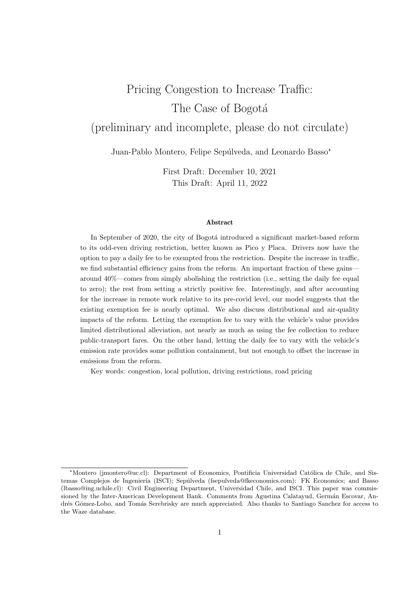# Pricing Congestion to Increase Traffic: The Case of Bogotá (preliminary and incomplete, please do not circulate)

Juan-Pablo Montero, Felipe Sepúlveda, and Leonardo Basso<sup>\*</sup>

First Draft: December 10, 2021 This Draft: April 11, 2022

#### Abstract

In September of 2020, the city of Bogotá introduced a significant market-based reform to its odd-even driving restriction, better known as Pico y Placa. Drivers now have the option to pay a daily fee to be exempted from the restriction. Despite the increase in traffic, we find substantial efficiency gains from the reform. An important fraction of these gains around 40%—comes from simply abolishing the restriction (i.e., setting the daily fee equal to zero); the rest from setting a strictly positive fee. Interestingly, and after accounting for the increase in remote work relative to its pre-covid level, our model suggests that the existing exemption fee is nearly optimal. We also discuss distributional and air-quality impacts of the reform. Letting the exemption fee to vary with the vehicle's value provides limited distributional alleviation, not nearly as much as using the fee collection to reduce public-transport fares. On the other hand, letting the daily fee to vary with the vehicle's emission rate provides some pollution containment, but not enough to offset the increase in emissions from the reform.

Key words: congestion, local pollution, driving restrictions, road pricing

<sup>\*</sup>Montero (jmontero@uc.cl): Department of Economics, Pontificia Universidad Católica de Chile, and Sistemas Complejos de Ingeniería (ISCI); Sepúlveda (fsepulveda@fkeconomics.com): FK Economics; and Basso (lbasso@ing.uchile.cl): Civil Engineering Department, Universidad Chile, and ISCI. This paper was commissioned by the Inter-American Development Bank. Comments from Agustina Calatayud, Germán Escovar, Andrés Gómez-Lobo, and Tomás Serebrisky are much appreciated. Also thanks to Santiago Sanchez for access to the Waze database.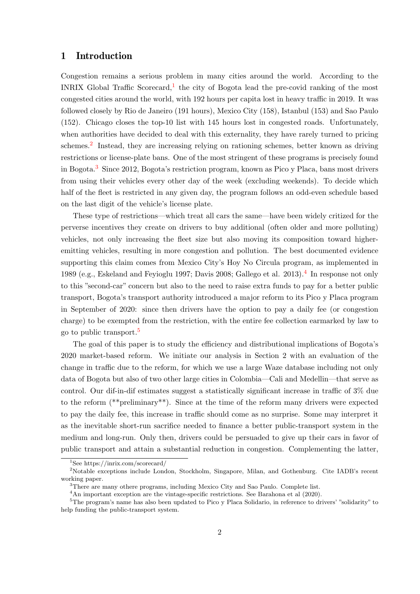## 1 Introduction

Congestion remains a serious problem in many cities around the world. According to the INRIX Global Traffic Scorecard,<sup>[1](#page-1-0)</sup> the city of Bogota lead the pre-covid ranking of the most congested cities around the world, with 192 hours per capita lost in heavy traffic in 2019. It was followed closely by Rio de Janeiro (191 hours), Mexico City (158), Istanbul (153) and Sao Paulo (152). Chicago closes the top-10 list with 145 hours lost in congested roads. Unfortunately, when authorities have decided to deal with this externality, they have rarely turned to pricing schemes.<sup>[2](#page-1-1)</sup> Instead, they are increasing relying on rationing schemes, better known as driving restrictions or license-plate bans. One of the most stringent of these programs is precisely found in Bogota.[3](#page-1-2) Since 2012, Bogota's restriction program, known as Pico y Placa, bans most drivers from using their vehicles every other day of the week (excluding weekends). To decide which half of the fleet is restricted in any given day, the program follows an odd-even schedule based on the last digit of the vehicle's license plate.

These type of restrictions—which treat all cars the same—have been widely critized for the perverse incentives they create on drivers to buy additional (often older and more polluting) vehicles, not only increasing the fleet size but also moving its composition toward higheremitting vehicles, resulting in more congestion and pollution. The best documented evidence supporting this claim comes from Mexico City's Hoy No Circula program, as implemented in 1989 (e.g., Eskeland and Feyioglu 1997; Davis 2008; Gallego et al. 2013).<sup>[4](#page-1-3)</sup> In response not only to this "second-car" concern but also to the need to raise extra funds to pay for a better public transport, Bogota's transport authority introduced a major reform to its Pico y Placa program in September of 2020: since then drivers have the option to pay a daily fee (or congestion charge) to be exempted from the restriction, with the entire fee collection earmarked by law to go to public transport.[5](#page-1-4)

The goal of this paper is to study the efficiency and distributional implications of Bogota's 2020 market-based reform. We initiate our analysis in Section 2 with an evaluation of the change in traffic due to the reform, for which we use a large Waze database including not only data of Bogota but also of two other large cities in Colombia—Cali and Medellin—that serve as control. Our dif-in-dif estimates suggest a statistically significant increase in traffic of 3% due to the reform (\*\*preliminary\*\*). Since at the time of the reform many drivers were expected to pay the daily fee, this increase in traffic should come as no surprise. Some may interpret it as the inevitable short-run sacrifice needed to finance a better public-transport system in the medium and long-run. Only then, drivers could be persuaded to give up their cars in favor of public transport and attain a substantial reduction in congestion. Complementing the latter,

<span id="page-1-1"></span><span id="page-1-0"></span><sup>1</sup>See https://inrix.com/scorecard/

<sup>&</sup>lt;sup>2</sup>Notable exceptions include London, Stockholm, Singapore, Milan, and Gothenburg. Cite IADB's recent working paper.

<span id="page-1-2"></span><sup>&</sup>lt;sup>3</sup>There are many othere programs, including Mexico City and Sao Paulo. Complete list.

<span id="page-1-4"></span><span id="page-1-3"></span><sup>&</sup>lt;sup>4</sup>An important exception are the vintage-specific restrictions. See Barahona et al (2020).

<sup>&</sup>lt;sup>5</sup>The program's name has also been updated to Pico y Placa Solidario, in reference to drivers' "solidarity" to help funding the public-transport system.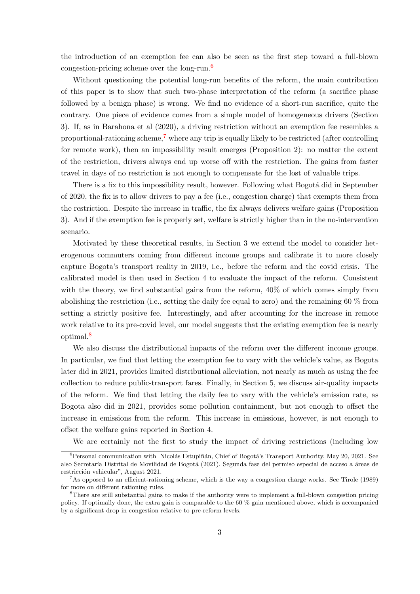the introduction of an exemption fee can also be seen as the first step toward a full-blown congestion-pricing scheme over the long-run.<sup>[6](#page-2-0)</sup>

Without questioning the potential long-run benefits of the reform, the main contribution of this paper is to show that such two-phase interpretation of the reform (a sacrifice phase followed by a benign phase) is wrong. We find no evidence of a short-run sacrifice, quite the contrary. One piece of evidence comes from a simple model of homogeneous drivers (Section 3). If, as in Barahona et al (2020), a driving restriction without an exemption fee resembles a proportional-rationing scheme,<sup>[7](#page-2-1)</sup> where any trip is equally likely to be restricted (after controlling for remote work), then an impossibility result emerges (Proposition 2): no matter the extent of the restriction, drivers always end up worse off with the restriction. The gains from faster travel in days of no restriction is not enough to compensate for the lost of valuable trips.

There is a fix to this impossibility result, however. Following what Bogotá did in September of 2020, the fix is to allow drivers to pay a fee (i.e., congestion charge) that exempts them from the restriction. Despite the increase in traffic, the fix always delivers welfare gains (Proposition 3). And if the exemption fee is properly set, welfare is strictly higher than in the no-intervention scenario.

Motivated by these theoretical results, in Section 3 we extend the model to consider heterogenous commuters coming from different income groups and calibrate it to more closely capture Bogota's transport reality in 2019, i.e., before the reform and the covid crisis. The calibrated model is then used in Section 4 to evaluate the impact of the reform. Consistent with the theory, we find substantial gains from the reform,  $40\%$  of which comes simply from abolishing the restriction (i.e., setting the daily fee equal to zero) and the remaining 60 % from setting a strictly positive fee. Interestingly, and after accounting for the increase in remote work relative to its pre-covid level, our model suggests that the existing exemption fee is nearly optimal.[8](#page-2-2)

We also discuss the distributional impacts of the reform over the different income groups. In particular, we find that letting the exemption fee to vary with the vehicle's value, as Bogota later did in 2021, provides limited distributional alleviation, not nearly as much as using the fee collection to reduce public-transport fares. Finally, in Section 5, we discuss air-quality impacts of the reform. We find that letting the daily fee to vary with the vehicle's emission rate, as Bogota also did in 2021, provides some pollution containment, but not enough to offset the increase in emissions from the reform. This increase in emissions, however, is not enough to offset the welfare gains reported in Section 4.

<span id="page-2-0"></span>We are certainly not the first to study the impact of driving restrictions (including low

 ${}^{6}$ Personal communication with Nicolás Estupiñán, Chief of Bogotá's Transport Authority, May 20, 2021. See also Secretaría Distrital de Movilidad de Bogotá (2021), Segunda fase del permiso especial de acceso a áreas de restricción vehicular", August 2021.

<span id="page-2-1"></span><sup>&</sup>lt;sup>7</sup>As opposed to an efficient-rationing scheme, which is the way a congestion charge works. See Tirole (1989) for more on different rationing rules.

<span id="page-2-2"></span><sup>8</sup>There are still substantial gains to make if the authority were to implement a full-blown congestion pricing policy. If optimally done, the extra gain is comparable to the 60 % gain mentioned above, which is accompanied by a significant drop in congestion relative to pre-reform levels.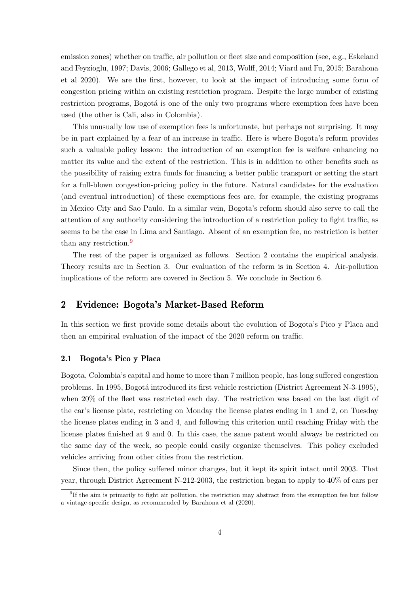emission zones) whether on traffic, air pollution or fleet size and composition (see, e.g., Eskeland and Feyzioglu, 1997; Davis, 2006; Gallego et al, 2013, Wolff, 2014; Viard and Fu, 2015; Barahona et al 2020). We are the first, however, to look at the impact of introducing some form of congestion pricing within an existing restriction program. Despite the large number of existing restriction programs, Bogotá is one of the only two programs where exemption fees have been used (the other is Cali, also in Colombia).

This unusually low use of exemption fees is unfortunate, but perhaps not surprising. It may be in part explained by a fear of an increase in traffic. Here is where Bogota's reform provides such a valuable policy lesson: the introduction of an exemption fee is welfare enhancing no matter its value and the extent of the restriction. This is in addition to other benefits such as the possibility of raising extra funds for financing a better public transport or setting the start for a full-blown congestion-pricing policy in the future. Natural candidates for the evaluation (and eventual introduction) of these exemptions fees are, for example, the existing programs in Mexico City and Sao Paulo. In a similar vein, Bogota's reform should also serve to call the attention of any authority considering the introduction of a restriction policy to fight traffic, as seems to be the case in Lima and Santiago. Absent of an exemption fee, no restriction is better than any restriction.[9](#page-3-0)

The rest of the paper is organized as follows. Section 2 contains the empirical analysis. Theory results are in Section 3. Our evaluation of the reform is in Section 4. Air-pollution implications of the reform are covered in Section 5. We conclude in Section 6.

# 2 Evidence: Bogota's Market-Based Reform

In this section we first provide some details about the evolution of Bogota's Pico y Placa and then an empirical evaluation of the impact of the 2020 reform on traffic.

### 2.1 Bogota's Pico y Placa

Bogota, Colombia's capital and home to more than 7 million people, has long suffered congestion problems. In 1995, Bogotá introduced its first vehicle restriction (District Agreement N-3-1995), when 20% of the fleet was restricted each day. The restriction was based on the last digit of the car's license plate, restricting on Monday the license plates ending in 1 and 2, on Tuesday the license plates ending in 3 and 4, and following this criterion until reaching Friday with the license plates finished at 9 and 0. In this case, the same patent would always be restricted on the same day of the week, so people could easily organize themselves. This policy excluded vehicles arriving from other cities from the restriction.

Since then, the policy suffered minor changes, but it kept its spirit intact until 2003. That year, through District Agreement N-212-2003, the restriction began to apply to 40% of cars per

<span id="page-3-0"></span><sup>&</sup>lt;sup>9</sup>If the aim is primarily to fight air pollution, the restriction may abstract from the exemption fee but follow a vintage-specific design, as recommended by Barahona et al (2020).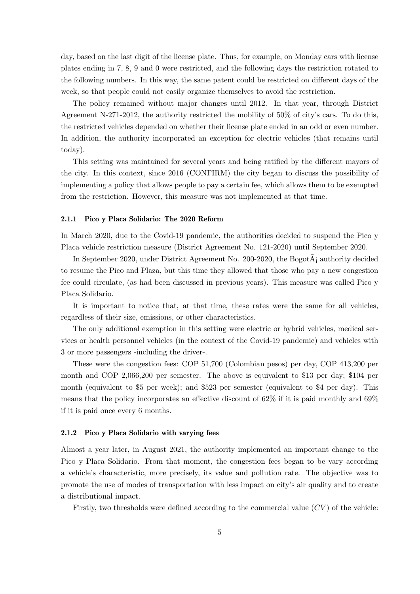day, based on the last digit of the license plate. Thus, for example, on Monday cars with license plates ending in 7, 8, 9 and 0 were restricted, and the following days the restriction rotated to the following numbers. In this way, the same patent could be restricted on different days of the week, so that people could not easily organize themselves to avoid the restriction.

The policy remained without major changes until 2012. In that year, through District Agreement N-271-2012, the authority restricted the mobility of 50% of city's cars. To do this, the restricted vehicles depended on whether their license plate ended in an odd or even number. In addition, the authority incorporated an exception for electric vehicles (that remains until today).

This setting was maintained for several years and being ratified by the different mayors of the city. In this context, since 2016 (CONFIRM) the city began to discuss the possibility of implementing a policy that allows people to pay a certain fee, which allows them to be exempted from the restriction. However, this measure was not implemented at that time.

### 2.1.1 Pico y Placa Solidario: The 2020 Reform

In March 2020, due to the Covid-19 pandemic, the authorities decided to suspend the Pico y Placa vehicle restriction measure (District Agreement No. 121-2020) until September 2020.

In September 2020, under District Agreement No. 200-2020, the Bogot $\tilde{A}$ ; authority decided to resume the Pico and Plaza, but this time they allowed that those who pay a new congestion fee could circulate, (as had been discussed in previous years). This measure was called Pico y Placa Solidario.

It is important to notice that, at that time, these rates were the same for all vehicles, regardless of their size, emissions, or other characteristics.

The only additional exemption in this setting were electric or hybrid vehicles, medical services or health personnel vehicles (in the context of the Covid-19 pandemic) and vehicles with 3 or more passengers -including the driver-.

These were the congestion fees: COP 51,700 (Colombian pesos) per day, COP 413,200 per month and COP 2,066,200 per semester. The above is equivalent to \$13 per day; \$104 per month (equivalent to \$5 per week); and \$523 per semester (equivalent to \$4 per day). This means that the policy incorporates an effective discount of 62% if it is paid monthly and 69% if it is paid once every 6 months.

#### 2.1.2 Pico y Placa Solidario with varying fees

Almost a year later, in August 2021, the authority implemented an important change to the Pico y Placa Solidario. From that moment, the congestion fees began to be vary according a vehicle's characteristic, more precisely, its value and pollution rate. The objective was to promote the use of modes of transportation with less impact on city's air quality and to create a distributional impact.

Firstly, two thresholds were defined according to the commercial value  $(CV)$  of the vehicle: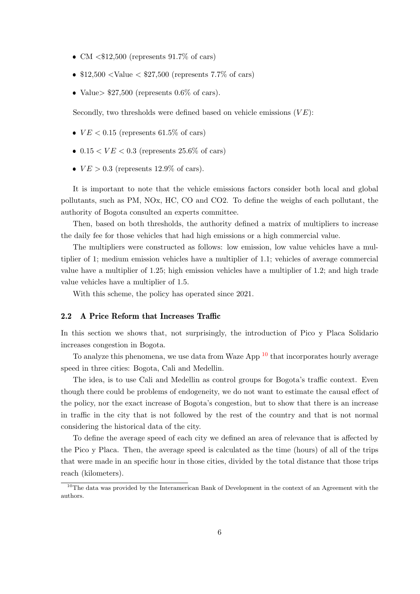- CM  $<$  \$12,500 (represents 91.7% of cars)
- $\bullet$  \$12,500 <Value < \$27,500 (represents 7.7% of cars)
- Value>  $$27,500$  (represents 0.6% of cars).

Secondly, two thresholds were defined based on vehicle emissions  $(VE)$ :

- $VE < 0.15$  (represents 61.5% of cars)
- $0.15 < VE < 0.3$  (represents 25.6% of cars)
- $VE > 0.3$  (represents 12.9% of cars).

It is important to note that the vehicle emissions factors consider both local and global pollutants, such as PM, NOx, HC, CO and CO2. To define the weighs of each pollutant, the authority of Bogota consulted an experts committee.

Then, based on both thresholds, the authority defined a matrix of multipliers to increase the daily fee for those vehicles that had high emissions or a high commercial value.

The multipliers were constructed as follows: low emission, low value vehicles have a multiplier of 1; medium emission vehicles have a multiplier of 1.1; vehicles of average commercial value have a multiplier of 1.25; high emission vehicles have a multiplier of 1.2; and high trade value vehicles have a multiplier of 1.5.

With this scheme, the policy has operated since 2021.

#### 2.2 A Price Reform that Increases Traffic

In this section we shows that, not surprisingly, the introduction of Pico y Placa Solidario increases congestion in Bogota.

To analyze this phenomena, we use data from Waze App  $10$  that incorporates hourly average speed in three cities: Bogota, Cali and Medellin.

The idea, is to use Cali and Medellin as control groups for Bogota's traffic context. Even though there could be problems of endogeneity, we do not want to estimate the causal effect of the policy, nor the exact increase of Bogota's congestion, but to show that there is an increase in traffic in the city that is not followed by the rest of the country and that is not normal considering the historical data of the city.

To define the average speed of each city we defined an area of relevance that is affected by the Pico y Placa. Then, the average speed is calculated as the time (hours) of all of the trips that were made in an specific hour in those cities, divided by the total distance that those trips reach (kilometers).

<span id="page-5-0"></span><sup>&</sup>lt;sup>10</sup>The data was provided by the Interamerican Bank of Development in the context of an Agreement with the authors.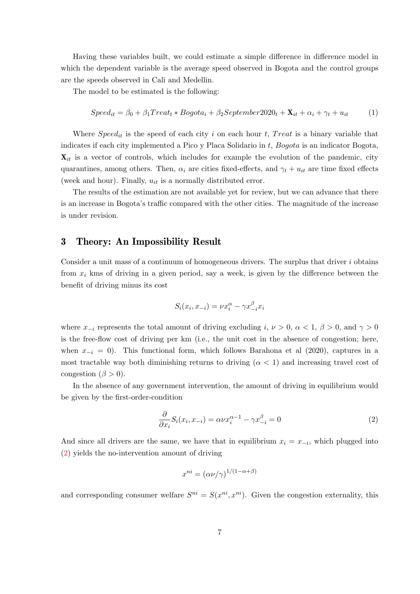Having these variables built, we could estimate a simple difference in difference model in which the dependent variable is the average speed observed in Bogota and the control groups are the speeds observed in Cali and Medellin.

The model to be estimated is the following:

$$
Speed_{it} = \beta_0 + \beta_1 Treat_t * Bogota_i + \beta_2 September2020_t + \mathbf{X}_{it} + \alpha_i + \gamma_t + u_{it}
$$
 (1)

Where  $Speed_{it}$  is the speed of each city i on each hour t, Treat is a binary variable that indicates if each city implemented a Pico y Placa Solidario in  $t$ ,  $Bogota$  is an indicator Bogota,  $\mathbf{X}_{it}$  is a vector of controls, which includes for example the evolution of the pandemic, city quarantines, among others. Then,  $\alpha_i$  are cities fixed-effects, and  $\gamma_t + u_{it}$  are time fixed effects (week and hour). Finally,  $u_{it}$  is a normally distributed error.

The results of the estimation are not available yet for review, but we can advance that there is an increase in Bogota's traffic compared with the other cities. The magnitude of the increase is under revision.

## 3 Theory: An Impossibility Result

Consider a unit mass of a continuum of homogeneous drivers. The surplus that driver  $i$  obtains from  $x_i$  kms of driving in a given period, say a week, is given by the difference between the benefit of driving minus its cost

$$
S_i(x_i, x_{-i}) = \nu x_i^{\alpha} - \gamma x_{-i}^{\beta} x_i
$$

where  $x_{-i}$  represents the total amount of driving excluding  $i, \nu > 0, \alpha < 1, \beta > 0$ , and  $\gamma > 0$ is the free-flow cost of driving per km (i.e., the unit cost in the absence of congestion; here, when  $x_{-i} = 0$ ). This functional form, which follows Barahona et al (2020), captures in a most tractable way both diminishing returns to driving  $(\alpha < 1)$  and increasing travel cost of congestion ( $\beta > 0$ ).

In the absence of any government intervention, the amount of driving in equilibrium would be given by the first-order-condition

<span id="page-6-0"></span>
$$
\frac{\partial}{\partial x_i} S_i(x_i, x_{-i}) = \alpha \nu x_i^{\alpha - 1} - \gamma x_{-i}^{\beta} = 0 \tag{2}
$$

And since all drivers are the same, we have that in equilibrium  $x_i = x_{-i}$ , which plugged into [\(2\)](#page-6-0) yields the no-intervention amount of driving

$$
x^{ni} = (\alpha \nu/\gamma)^{1/(1-\alpha+\beta)}
$$

and corresponding consumer welfare  $S^{ni} = S(x^{ni}, x^{ni})$ . Given the congestion externality, this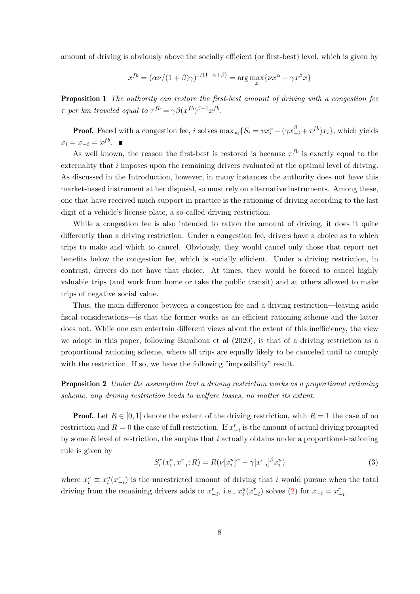amount of driving is obviously above the socially efficient (or first-best) level, which is given by

$$
x^{fb} = (\alpha \nu/(1+\beta)\gamma)^{1/(1-\alpha+\beta)} = \arg\max_{x} \{ \nu x^{\alpha} - \gamma x^{\beta} x \}
$$

**Proposition 1** The authority can restore the first-best amount of driving with a congestion fee  $\tau$  per km traveled equal to  $\tau^{fb} = \gamma \beta (x^{fb})^{\beta - 1} x^{fb}$ .

**Proof.** Faced with a congestion fee, i solves  $\max_{x_i} \{ S_i = vx_i^{\alpha} - (\gamma x_{-i}^{\beta} + \tau^{fb})x_i \}$ , which yields  $x_i = x_{-i} = x^{fb}.$ 

As well known, the reason the first-best is restored is because  $\tau^{fb}$  is exactly equal to the externality that i imposes upon the remaining drivers evaluated at the optimal level of driving. As discussed in the Introduction, however, in many instances the authority does not have this market-based instrument at her disposal, so must rely on alternative instruments. Among these, one that have received much support in practice is the rationing of driving according to the last digit of a vehicle's license plate, a so-called driving restriction.

While a congestion fee is also intended to ration the amount of driving, it does it quite differently than a driving restriction. Under a congestion fee, drivers have a choice as to which trips to make and which to cancel. Obviously, they would cancel only those that report net benefits below the congestion fee, which is socially efficient. Under a driving restriction, in contrast, drivers do not have that choice. At times, they would be forced to cancel highly valuable trips (and work from home or take the public transit) and at others allowed to make trips of negative social value.

Thus, the main difference between a congestion fee and a driving restriction—leaving aside fiscal considerations—is that the former works as an efficient rationing scheme and the latter does not. While one can entertain different views about the extent of this inefficiency, the view we adopt in this paper, following Barahona et al (2020), is that of a driving restriction as a proportional rationing scheme, where all trips are equally likely to be canceled until to comply with the restriction. If so, we have the following "imposibility" result.

**Proposition 2** Under the assumption that a driving restriction works as a proportional rationing scheme, any driving restriction leads to welfare losses, no matter its extent.

**Proof.** Let  $R \in [0, 1]$  denote the extent of the driving restriction, with  $R = 1$  the case of no restriction and  $R = 0$  the case of full restriction. If  $x_{-i}^r$  is the amount of actual driving prompted by some R level of restriction, the surplus that i actually obtains under a proportional-rationing rule is given by

<span id="page-7-0"></span>
$$
S_i^r(x_i^*, x_{-i}^r; R) = R(\nu[x_i^u]^\alpha - \gamma [x_{-i}^r]^\beta x_i^u)
$$
\n(3)

where  $x_i^u \equiv x_i^u(x_{-i}^r)$  is the unrestricted amount of driving that i would pursue when the total driving from the remaining drivers adds to  $x_{-i}^r$ , i.e.,  $x_i^u(x_{-i}^r)$  solves [\(2\)](#page-6-0) for  $x_{-i} = x_{-i}^r$ .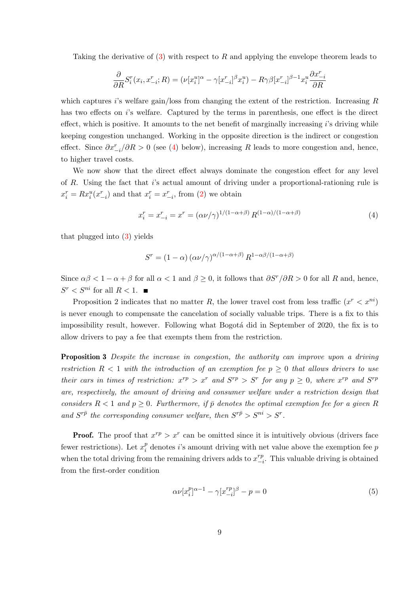Taking the derivative of [\(3\)](#page-7-0) with respect to R and applying the envelope theorem leads to

$$
\frac{\partial}{\partial R} S_i^r(x_i, x_{-i}^r; R) = (\nu [x_i^u]^\alpha - \gamma [x_{-i}^r]^\beta x_i^u) - R\gamma\beta [x_{-i}^r]^\beta x_i^u \frac{\partial x_{-i}^r}{\partial R}
$$

which captures i's welfare gain/loss from changing the extent of the restriction. Increasing  $R$ has two effects on is welfare. Captured by the terms in parenthesis, one effect is the direct effect, which is positive. It amounts to the net benefit of marginally increasing i's driving while keeping congestion unchanged. Working in the opposite direction is the indirect or congestion effect. Since  $\partial x_{-i}^r/\partial R > 0$  (see [\(4\)](#page-8-0) below), increasing R leads to more congestion and, hence, to higher travel costs.

We now show that the direct effect always dominate the congestion effect for any level of R. Using the fact that i's actual amount of driving under a proportional-rationing rule is  $x_i^r = Rx_i^u(x_{-i}^r)$  and that  $x_i^r = x_{-i}^r$ , from [\(2\)](#page-6-0) we obtain

<span id="page-8-0"></span>
$$
x_i^r = x_{-i}^r = x^r = (\alpha \nu / \gamma)^{1/(1 - \alpha + \beta)} R^{(1 - \alpha)/(1 - \alpha + \beta)}
$$
(4)

that plugged into [\(3\)](#page-7-0) yields

$$
S^{r} = (1 - \alpha) (\alpha \nu / \gamma)^{\alpha/(1 - \alpha + \beta)} R^{1 - \alpha \beta/(1 - \alpha + \beta)}
$$

Since  $\alpha\beta < 1 - \alpha + \beta$  for all  $\alpha < 1$  and  $\beta > 0$ , it follows that  $\partial S^r/\partial R > 0$  for all R and, hence,  $S^r < S^{ni}$  for all  $R < 1$ .

Proposition 2 indicates that no matter R, the lower travel cost from less traffic  $(x^r < x^{ni})$ is never enough to compensate the cancelation of socially valuable trips. There is a fix to this impossibility result, however. Following what Bogotá did in September of 2020, the fix is to allow drivers to pay a fee that exempts them from the restriction.

**Proposition 3** Despite the increase in congestion, the authority can improve upon a driving restriction  $R < 1$  with the introduction of an exemption fee  $p \geq 0$  that allows drivers to use their cars in times of restriction:  $x^{rp} > x^r$  and  $S^{rp} > S^r$  for any  $p \ge 0$ , where  $x^{rp}$  and  $S^{rp}$ are, respectively, the amount of driving and consumer welfare under a restriction design that considers  $R < 1$  and  $p \ge 0$ . Furthermore, if  $\bar{p}$  denotes the optimal exemption fee for a given R and  $S^{r\bar{p}}$  the corresponding consumer welfare, then  $S^{r\bar{p}} > S^{ni} > S^r$ .

**Proof.** The proof that  $x^{rp} > x^r$  can be omitted since it is intuitively obvious (drivers face fewer restrictions). Let  $x_i^p$  $i<sup>p</sup>$  denotes *i*'s amount driving with net value above the exemption fee  $p$ when the total driving from the remaining drivers adds to  $x_{-}^{rp}$  $\frac{rp}{-i}$ . This valuable driving is obtained from the first-order condition

<span id="page-8-1"></span>
$$
\alpha \nu [x_i^p]^{\alpha - 1} - \gamma [x_{-i}^{rp}]^{\beta} - p = 0 \tag{5}
$$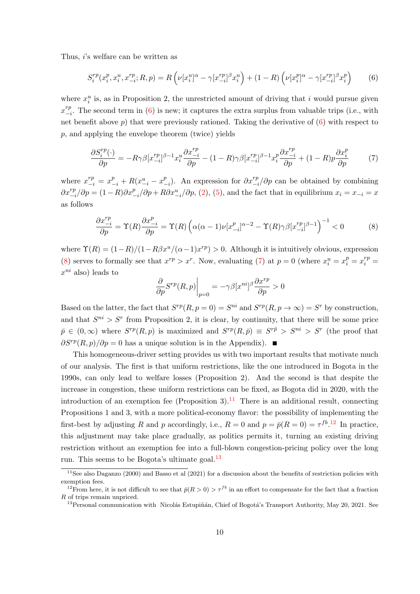Thus, i's welfare can be written as

<span id="page-9-0"></span>
$$
S_i^{rp}(x_i^p, x_i^u, x_{-i}^{rp}; R, p) = R\left(\nu[x_i^u]^\alpha - \gamma[x_{-i}^{rp} ]^\beta x_i^u\right) + (1 - R)\left(\nu[x_i^p]^\alpha - \gamma[x_{-i}^{rp} ]^\beta x_i^p\right) \tag{6}
$$

where  $x_i^u$  is, as in Proposition 2, the unrestricted amount of driving that i would pursue given  $x_{-}^{rp}$  $\frac{rp}{-i}$ . The second term in [\(6\)](#page-9-0) is new; it captures the extra surplus from valuable trips (i.e., with net benefit above  $p$ ) that were previously rationed. Taking the derivative of  $(6)$  with respect to p, and applying the envelope theorem (twice) yields

<span id="page-9-2"></span>
$$
\frac{\partial S_i^{rp}(\cdot)}{\partial p} = -R\gamma\beta [x_{-i}^{rp}]^{\beta -1} x_i^u \frac{\partial x_{-i}^{rp}}{\partial p} - (1 - R)\gamma\beta [x_{-i}^{rp}]^{\beta -1} x_i^p \frac{\partial x_{-i}^{rp}}{\partial p} + (1 - R)p \frac{\partial x_i^p}{\partial p}
$$
(7)

where  $x_{-i}^{rp} = x_{-i}^p + R(x_{-i}^u - x_{-i}^p)$  $\binom{p}{i-i}$ . An expression for  $\frac{\partial x}{\partial i}^{rp}/\partial p$  can be obtained by combining  $\partial x_{-i}^{rp}/\partial p = (1-R)\partial x_{-i}^p/\partial p + R\partial x_{-i}^u/\partial p$ , [\(2\)](#page-6-0), [\(5\)](#page-8-1), and the fact that in equilibrium  $x_i = x_{-i} = x$ as follows

<span id="page-9-1"></span>
$$
\frac{\partial x_{-i}^{rp}}{\partial p} = \Upsilon(R) \frac{\partial x_{-i}^p}{\partial p} = \Upsilon(R) \left( \alpha(\alpha - 1) \nu [x_{-i}^p]^{\alpha - 2} - \Upsilon(R) \gamma \beta [x_{-i}^{rp}]^{\beta - 1} \right)^{-1} < 0 \tag{8}
$$

where  $\Upsilon(R) = (1 - R)/(1 - R\beta x^u/(\alpha - 1)x^{rp}) > 0$ . Although it is intuitively obvious, expression [\(8\)](#page-9-1) serves to formally see that  $x^{rp} > x^r$ . Now, evaluating [\(7\)](#page-9-2) at  $p = 0$  (where  $x_i^u = x_i^p = x_i^{rp} =$  $x^{ni}$  also) leads to

$$
\left.\frac{\partial}{\partial p}S^{rp}(R,p)\right|_{p=0}=-\gamma\beta[x^{ni}]^{\beta}\frac{\partial x^{rp}}{\partial p}>0
$$

Based on the latter, the fact that  $S^{rp}(R, p = 0) = S^{ni}$  and  $S^{rp}(R, p \to \infty) = S^r$  by construction, and that  $S^{ni} > S^r$  from Proposition 2, it is clear, by continuity, that there will be some price  $\bar{p} \in (0,\infty)$  where  $S^{rp}(R,p)$  is maximized and  $S^{rp}(R,\bar{p}) \equiv S^{r\bar{p}} > S^{ni} > S^r$  (the proof that  $\partial S^{rp}(R, p)/\partial p = 0$  has a unique solution is in the Appendix).  $\blacksquare$ 

This homogeneous-driver setting provides us with two important results that motivate much of our analysis. The first is that uniform restrictions, like the one introduced in Bogota in the 1990s, can only lead to welfare losses (Proposition 2). And the second is that despite the increase in congestion, these uniform restrictions can be fixed, as Bogota did in 2020, with the introduction of an exemption fee (Proposition 3).<sup>[11](#page-9-3)</sup> There is an additional result, connecting Propositions 1 and 3, with a more political-economy flavor: the possibility of implementing the first-best by adjusting R and p accordingly, i.e.,  $R = 0$  and  $p = \bar{p}(R = 0) = \tau^{fb}$ .<sup>[12](#page-9-4)</sup> In practice, this adjustment may take place gradually, as politics permits it, turning an existing driving restriction without an exemption fee into a full-blown congestion-pricing policy over the long run. This seems to be Bogota's ultimate goal.<sup>[13](#page-9-5)</sup>

<span id="page-9-3"></span> $11$ See also Daganzo (2000) and Basso et al (2021) for a discussion about the benefits of restriction policies with exemption fees.

<span id="page-9-4"></span><sup>&</sup>lt;sup>12</sup>From here, it is not difficult to see that  $\bar{p}(R > 0) > \tau^{fb}$  in an effort to compensate for the fact that a fraction R of trips remain unpriced.

<span id="page-9-5"></span><sup>&</sup>lt;sup>13</sup> Personal communication with Nicolás Estupiñán, Chief of Bogotá's Transport Authority, May 20, 2021. See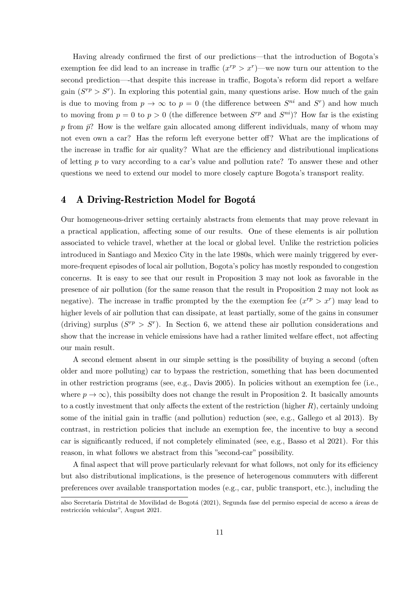Having already confirmed the first of our predictions—that the introduction of Bogota's exemption fee did lead to an increase in traffic  $(x^{rp} > x^r)$ —we now turn our attention to the second prediction—-that despite this increase in traffic, Bogota's reform did report a welfare gain  $(S^{rp} > S^r)$ . In exploring this potential gain, many questions arise. How much of the gain is due to moving from  $p \to \infty$  to  $p = 0$  (the difference between  $S^{ni}$  and  $S^r$ ) and how much to moving from  $p = 0$  to  $p > 0$  (the difference between  $S^{rp}$  and  $S^{ni}$ )? How far is the existing p from  $\bar{p}$ ? How is the welfare gain allocated among different individuals, many of whom may not even own a car? Has the reform left everyone better off? What are the implications of the increase in traffic for air quality? What are the efficiency and distributional implications of letting p to vary according to a car's value and pollution rate? To answer these and other questions we need to extend our model to more closely capture Bogota's transport reality.

# 4 A Driving-Restriction Model for Bogotá

Our homogeneous-driver setting certainly abstracts from elements that may prove relevant in a practical application, affecting some of our results. One of these elements is air pollution associated to vehicle travel, whether at the local or global level. Unlike the restriction policies introduced in Santiago and Mexico City in the late 1980s, which were mainly triggered by evermore-frequent episodes of local air pollution, Bogota's policy has mostly responded to congestion concerns. It is easy to see that our result in Proposition 3 may not look as favorable in the presence of air pollution (for the same reason that the result in Proposition 2 may not look as negative). The increase in traffic prompted by the the exemption fee  $(x^{rp} > x^r)$  may lead to higher levels of air pollution that can dissipate, at least partially, some of the gains in consumer (driving) surplus  $(S^{rp} > S^r)$ . In Section 6, we attend these air pollution considerations and show that the increase in vehicle emissions have had a rather limited welfare effect, not affecting our main result.

A second element absent in our simple setting is the possibility of buying a second (often older and more polluting) car to bypass the restriction, something that has been documented in other restriction programs (see, e.g., Davis 2005). In policies without an exemption fee (i.e., where  $p \to \infty$ ), this possibilty does not change the result in Proposition 2. It basically amounts to a costly investment that only affects the extent of the restriction (higher  $R$ ), certainly undoing some of the initial gain in traffic (and pollution) reduction (see, e.g., Gallego et al 2013). By contrast, in restriction policies that include an exemption fee, the incentive to buy a second car is significantly reduced, if not completely eliminated (see, e.g., Basso et al 2021). For this reason, in what follows we abstract from this "second-car" possibility.

A final aspect that will prove particularly relevant for what follows, not only for its efficiency but also distributional implications, is the presence of heterogenous commuters with different preferences over available transportation modes (e.g., car, public transport, etc.), including the

also Secretaría Distrital de Movilidad de Bogotá (2021), Segunda fase del permiso especial de acceso a áreas de restricción vehicular", August 2021.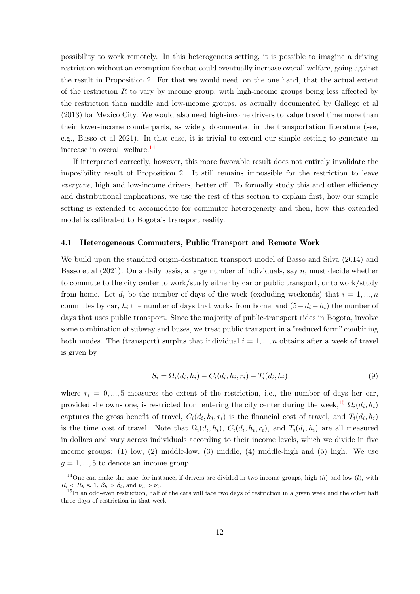possibility to work remotely. In this heterogenous setting, it is possible to imagine a driving restriction without an exemption fee that could eventually increase overall welfare, going against the result in Proposition 2. For that we would need, on the one hand, that the actual extent of the restriction R to vary by income group, with high-income groups being less affected by the restriction than middle and low-income groups, as actually documented by Gallego et al (2013) for Mexico City. We would also need high-income drivers to value travel time more than their lower-income counterparts, as widely documented in the transportation literature (see, e.g., Basso et al 2021). In that case, it is trivial to extend our simple setting to generate an increase in overall welfare.[14](#page-11-0)

If interpreted correctly, however, this more favorable result does not entirely invalidate the imposibility result of Proposition 2. It still remains impossible for the restriction to leave everyone, high and low-income drivers, better off. To formally study this and other efficiency and distributional implications, we use the rest of this section to explain first, how our simple setting is extended to accomodate for commuter heterogeneity and then, how this extended model is calibrated to Bogota's transport reality.

#### 4.1 Heterogeneous Commuters, Public Transport and Remote Work

We build upon the standard origin-destination transport model of Basso and Silva (2014) and Basso et al  $(2021)$ . On a daily basis, a large number of individuals, say n, must decide whether to commute to the city center to work/study either by car or public transport, or to work/study from home. Let  $d_i$  be the number of days of the week (excluding weekends) that  $i = 1, ..., n$ commutes by car,  $h_i$  the number of days that works from home, and  $(5 - d_i - h_i)$  the number of days that uses public transport. Since the majority of public-transport rides in Bogota, involve some combination of subway and buses, we treat public transport in a "reduced form" combining both modes. The (transport) surplus that individual  $i = 1, ..., n$  obtains after a week of travel is given by

<span id="page-11-2"></span>
$$
S_i = \Omega_i(d_i, h_i) - C_i(d_i, h_i, r_i) - T_i(d_i, h_i)
$$
\n(9)

where  $r_i = 0, ..., 5$  measures the extent of the restriction, i.e., the number of days her car, provided she owns one, is restricted from entering the city center during the week,<sup>[15](#page-11-1)</sup>  $\Omega_i(d_i, h_i)$ captures the gross benefit of travel,  $C_i(d_i, h_i, r_i)$  is the financial cost of travel, and  $T_i(d_i, h_i)$ is the time cost of travel. Note that  $\Omega_i(d_i, h_i)$ ,  $C_i(d_i, h_i, r_i)$ , and  $T_i(d_i, h_i)$  are all measured in dollars and vary across individuals according to their income levels, which we divide in five income groups: (1) low, (2) middle-low, (3) middle, (4) middle-high and (5) high. We use  $q = 1, ..., 5$  to denote an income group.

<span id="page-11-0"></span><sup>&</sup>lt;sup>14</sup>One can make the case, for instance, if drivers are divided in two income groups, high  $(h)$  and low  $(l)$ , with  $R_l < R_h \approx 1, \beta_h > \beta_l, \text{ and } \nu_h > \nu_l.$ 

<span id="page-11-1"></span><sup>&</sup>lt;sup>15</sup>In an odd-even restriction, half of the cars will face two days of restriction in a given week and the other half three days of restriction in that week.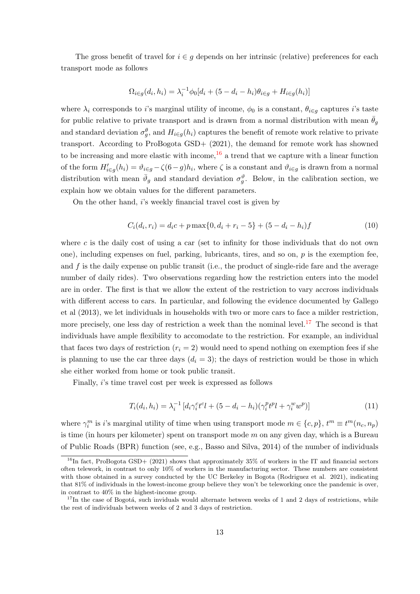The gross benefit of travel for  $i \in g$  depends on her intrinsic (relative) preferences for each transport mode as follows

$$
\Omega_{i \in g}(d_i, h_i) = \lambda_i^{-1} \phi_0[d_i + (5 - d_i - h_i)\theta_{i \in g} + H_{i \in g}(h_i)]
$$

where  $\lambda_i$  corresponds to i's marginal utility of income,  $\phi_0$  is a constant,  $\theta_{i \in g}$  captures i's taste for public relative to private transport and is drawn from a normal distribution with mean  $\theta_g$ and standard deviation  $\sigma_g^{\theta}$ , and  $H_{i \in g}(h_i)$  captures the benefit of remote work relative to private transport. According to ProBogota GSD+ (2021), the demand for remote work has showned to be increasing and more elastic with income,  $16$  a trend that we capture with a linear function of the form  $H'_{i\in g}(h_i) = \vartheta_{i\in g} - \zeta(6-g)h_i$ , where  $\zeta$  is a constant and  $\vartheta_{i\in g}$  is drawn from a normal distribution with mean  $\bar{\vartheta}_g$  and standard deviation  $\sigma_g^{\vartheta}$ . Below, in the calibration section, we explain how we obtain values for the different parameters.

On the other hand, i's weekly financial travel cost is given by

$$
C_i(d_i, r_i) = d_i c + p \max\{0, d_i + r_i - 5\} + (5 - d_i - h_i)f \tag{10}
$$

where c is the daily cost of using a car (set to infinity for those individuals that do not own one), including expenses on fuel, parking, lubricants, tires, and so on, p is the exemption fee, and  $f$  is the daily expense on public transit (i.e., the product of single-ride fare and the average number of daily rides). Two observations regarding how the restriction enters into the model are in order. The first is that we allow the extent of the restriction to vary accross individuals with different access to cars. In particular, and following the evidence documented by Gallego et al (2013), we let individuals in households with two or more cars to face a milder restriction, more precisely, one less day of restriction a week than the nominal level.<sup>[17](#page-12-1)</sup> The second is that individuals have ample flexibility to accomodate to the restriction. For example, an individual that faces two days of restriction  $(r_i = 2)$  would need to spend nothing on exemption fees if she is planning to use the car three days  $(d_i = 3)$ ; the days of restriction would be those in which she either worked from home or took public transit.

Finally, i's time travel cost per week is expressed as follows

$$
T_i(d_i, h_i) = \lambda_i^{-1} \left[ d_i \gamma_i^c t^c l + (5 - d_i - h_i) (\gamma_i^p t^p l + \gamma_i^w w^p) \right]
$$
(11)

where  $\gamma_i^m$  is *i*'s marginal utility of time when using transport mode  $m \in \{c, p\}$ ,  $t^m \equiv t^m(n_c, n_p)$ is time (in hours per kilometer) spent on transport mode  $m$  on any given day, which is a Bureau of Public Roads (BPR) function (see, e.g., Basso and Silva, 2014) of the number of individuals

<span id="page-12-0"></span><sup>&</sup>lt;sup>16</sup>In fact, ProBogota GSD+ (2021) shows that approximately 35% of workers in the IT and financial sectors often telework, in contrast to only 10% of workers in the manufacturing sector. These numbers are consistent with those obtained in a survey conducted by the UC Berkeley in Bogota (Rodriguez et al. 2021), indicating that 81% of individuals in the lowest-income group believe they won't be teleworking once the pandemic is over, in contrast to 40% in the highest-income group.

<span id="page-12-1"></span> $17$ In the case of Bogotá, such inviduals would alternate between weeks of 1 and 2 days of restrictions, while the rest of individuals between weeks of 2 and 3 days of restriction.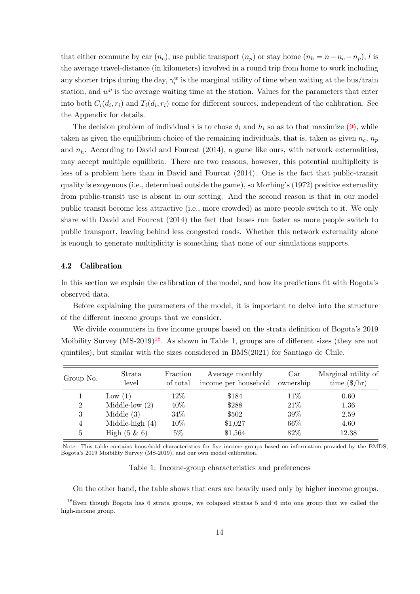that either commute by car  $(n_c)$ , use public transport  $(n_p)$  or stay home  $(n_h = n - n_c - n_p)$ , l is the average travel-distance (in kilometers) involved in a round trip from home to work including any shorter trips during the day,  $\gamma_i^w$  is the marginal utility of time when waiting at the bus/train station, and  $w^p$  is the average waiting time at the station. Values for the parameters that enter into both  $C_i(d_i, r_i)$  and  $T_i(d_i, r_i)$  come for different sources, independent of the calibration. See the Appendix for details.

The decision problem of individual i is to chose  $d_i$  and  $h_i$  so as to that maximize [\(9\)](#page-11-2), while taken as given the equilibrium choice of the remaining individuals, that is, taken as given  $n_c$ ,  $n_p$ and  $n_h$ . According to David and Fourcat (2014), a game like ours, with network externalities, may accept multiple equilibria. There are two reasons, however, this potential multiplicity is less of a problem here than in David and Fourcat (2014). One is the fact that public-transit quality is exogenous (i.e., determined outside the game), so Morhing's (1972) positive externality from public-transit use is absent in our setting. And the second reason is that in our model public transit become less attractive (i.e., more crowded) as more people switch to it. We only share with David and Fourcat (2014) the fact that buses run faster as more people switch to public transport, leaving behind less congested roads. Whether this network externality alone is enough to generate multiplicity is something that none of our simulations supports.

## 4.2 Calibration

In this section we explain the calibration of the model, and how its predictions fit with Bogota's observed data.

Before explaining the parameters of the model, it is important to delve into the structure of the different income groups that we consider.

We divide commuters in five income groups based on the strata definition of Bogota's 2019 Moibility Survey  $(MS-2019)^{18}$  $(MS-2019)^{18}$  $(MS-2019)^{18}$ . As shown in Table 1, groups are of different sizes (they are not quintiles), but similar with the sizes considered in BMS(2021) for Santiago de Chile.

| Group No.      | Strata<br>level   | Fraction<br>of total | Average monthly<br>income per household | Car<br>ownership | Marginal utility of<br>time $(\frac{1}{2}$ hr) |
|----------------|-------------------|----------------------|-----------------------------------------|------------------|------------------------------------------------|
|                | Low $(1)$         | $12\%$               | \$184                                   | $11\%$           | 0.60                                           |
| $\overline{2}$ | Middle-low $(2)$  | 40%                  | \$288                                   | 21\%             | 1.36                                           |
| 3              | Middle $(3)$      | 34%                  | \$502                                   | 39%              | 2.59                                           |
| 4              | Middle-high $(4)$ | 10%                  | \$1,027                                 | $66\%$           | 4.60                                           |
| 5              | High $(5 \& 6)$   | $5\%$                | \$1,564                                 | 82%              | 12.38                                          |

Note: This table contains household characteristics for five income groups based on information provided by the BMDS, Bogota's 2019 Moibility Survey (MS-2019), and our own model calibration.

#### Table 1: Income-group characteristics and preferences

<span id="page-13-0"></span>On the other hand, the table shows that cars are heavily used only by higher income groups.

<sup>&</sup>lt;sup>18</sup>Even though Bogota has 6 strata groups, we colapsed stratas 5 and 6 into one group that we called the high-income group.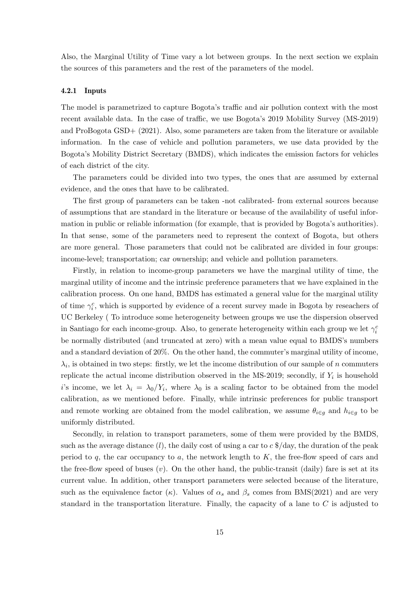Also, the Marginal Utility of Time vary a lot between groups. In the next section we explain the sources of this parameters and the rest of the parameters of the model.

#### 4.2.1 Inputs

The model is parametrized to capture Bogota's traffic and air pollution context with the most recent available data. In the case of traffic, we use Bogota's 2019 Mobility Survey (MS-2019) and ProBogota GSD+ (2021). Also, some parameters are taken from the literature or available information. In the case of vehicle and pollution parameters, we use data provided by the Bogota's Mobility District Secretary (BMDS), which indicates the emission factors for vehicles of each district of the city.

The parameters could be divided into two types, the ones that are assumed by external evidence, and the ones that have to be calibrated.

The first group of parameters can be taken -not calibrated- from external sources because of assumptions that are standard in the literature or because of the availability of useful information in public or reliable information (for example, that is provided by Bogota's authorities). In that sense, some of the parameters need to represent the context of Bogota, but others are more general. Those parameters that could not be calibrated are divided in four groups: income-level; transportation; car ownership; and vehicle and pollution parameters.

Firstly, in relation to income-group parameters we have the marginal utility of time, the marginal utility of income and the intrinsic preference parameters that we have explained in the calibration process. On one hand, BMDS has estimated a general value for the marginal utility of time  $\gamma_i^c$ , which is supported by evidence of a recent survey made in Bogota by reseachers of UC Berkeley ( To introduce some heterogeneity between groups we use the dispersion observed in Santiago for each income-group. Also, to generate heterogeneity within each group we let  $\gamma_i^c$ be normally distributed (and truncated at zero) with a mean value equal to BMDS's numbers and a standard deviation of 20%. On the other hand, the commuter's marginal utility of income,  $\lambda_i$ , is obtained in two steps: firstly, we let the income distribution of our sample of n commuters replicate the actual income distribution observed in the MS-2019; secondly, if  $Y_i$  is household i's income, we let  $\lambda_i = \lambda_0/Y_i$ , where  $\lambda_0$  is a scaling factor to be obtained from the model calibration, as we mentioned before. Finally, while intrinsic preferences for public transport and remote working are obtained from the model calibration, we assume  $\theta_{i\in g}$  and  $h_{i\in g}$  to be uniformly distributed.

Secondly, in relation to transport parameters, some of them were provided by the BMDS, such as the average distance (*l*), the daily cost of using a car to  $c \frac{4}{3}$  day, the duration of the peak period to  $q$ , the car occupancy to  $a$ , the network length to  $K$ , the free-flow speed of cars and the free-flow speed of buses  $(v)$ . On the other hand, the public-transit (daily) fare is set at its current value. In addition, other transport parameters were selected because of the literature, such as the equivalence factor (κ). Values of  $\alpha_s$  and  $\beta_s$  comes from BMS(2021) and are very standard in the transportation literature. Finally, the capacity of a lane to C is adjusted to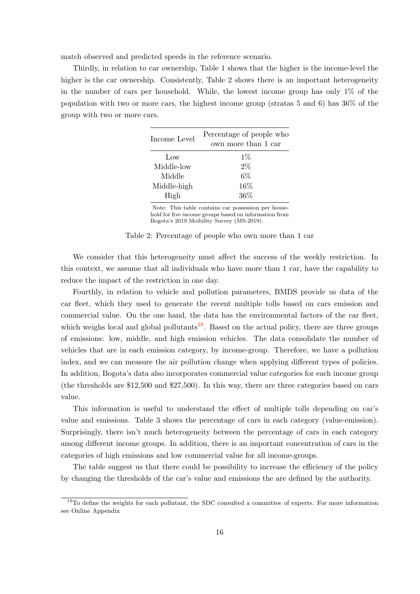match observed and predicted speeds in the reference scenario.

Thirdly, in relation to car ownership, Table 1 shows that the higher is the income-level the higher is the car ownership. Consistently, Table 2 shows there is an important heterogeneity in the number of cars per household. While, the lowest income group has only  $1\%$  of the population with two or more cars, the highest income group (stratas 5 and 6) has 36% of the group with two or more cars.

| Income Level | Percentage of people who<br>own more than 1 car |  |  |
|--------------|-------------------------------------------------|--|--|
| Low          | $1\%$                                           |  |  |
| Middle-low   | $2\%$                                           |  |  |
| Middle       | 6%                                              |  |  |
| Middle-high  | $16\%$                                          |  |  |
| High         | $36\%$                                          |  |  |

Note: This table contains car possession per household for five income groups based on information from Bogota's 2019 Moibility Survey (MS-2019).

|  | Table 2: Percentage of people who own more than 1 car |  |  |  |  |
|--|-------------------------------------------------------|--|--|--|--|
|--|-------------------------------------------------------|--|--|--|--|

We consider that this heterogeneity must affect the success of the weekly restriction. In this context, we assume that all individuals who have more than 1 car, have the capability to reduce the impact of the restriction in one day.

Fourthly, in relation to vehicle and pollution parameters, BMDS provide us data of the car fleet, which they used to generate the recent multiple tolls based on cars emission and commercial value. On the one hand, the data has the environmental factors of the car fleet, which weighs local and global pollutants<sup>[19](#page-15-0)</sup>. Based on the actual policy, there are three groups of emissions: low, middle, and high emission vehicles. The data consolidate the number of vehicles that are in each emission category, by income-group. Therefore, we have a pollution index, and we can measure the air pollution change when applying different types of policies. In addition, Bogota's data also incorporates commercial value categories for each income group (the thresholds are \$12,500 and \$27,500). In this way, there are three categories based on cars value.

This information is useful to understand the effect of multiple tolls depending on car's value and emissions. Table 3 shows the percentage of cars in each category (value-emission). Surprisingly, there isn't much heterogeneity between the percentage of cars in each category among different income groups. In addition, there is an important concentration of cars in the categories of high emissions and low commercial value for all income-groups.

The table suggest us that there could be possibility to increase the efficiency of the policy by changing the thresholds of the car's value and emissions the are defined by the authority.

<span id="page-15-0"></span><sup>&</sup>lt;sup>19</sup>To define the weights for each pollutant, the SDC consulted a committee of experts. For more information see Online Appendix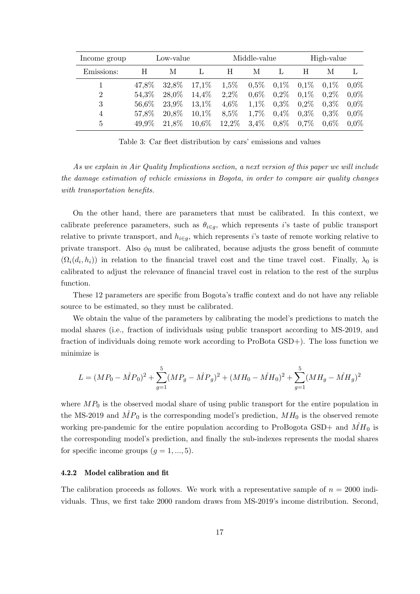| Income group   | Low-value |       |          | Middle-value |         |         | High-value |         |         |
|----------------|-----------|-------|----------|--------------|---------|---------|------------|---------|---------|
| Emissions:     | H         | М     |          | H            | М       |         | H          | М       | Ι,      |
|                | 47,8%     | 32,8% | 17,1%    | 1,5%         | $0.5\%$ | 0,1%    | $0.1\%$    | $0.1\%$ | $0.0\%$ |
| $\overline{2}$ | 54,3%     | 28,0% | 14,4%    | 2,2%         | $0.6\%$ | $0.2\%$ | $0.1\%$    | $0.2\%$ | $0.0\%$ |
| 3              | 56,6%     | 23,9% | 13,1%    | 4,6%         | $1.1\%$ | $0.3\%$ | $0.2\%$    | $0.3\%$ | $0.0\%$ |
| $\overline{4}$ | 57,8%     | 20,8% | $10.1\%$ | 8,5%         | 1.7%    | 0,4%    | $0.3\%$    | $0.3\%$ | $0.0\%$ |
| 5              | 49.9%     | 21,8% | 10.6%    | 12,2%        | 3.4%    | $0.8\%$ | $0.7\%$    | $0.6\%$ | $0.0\%$ |

Table 3: Car fleet distribution by cars' emissions and values

As we explain in Air Quality Implications section, a next version of this paper we will include the damage estimation of vehicle emissions in Bogota, in order to compare air quality changes with transportation benefits.

On the other hand, there are parameters that must be calibrated. In this context, we calibrate preference parameters, such as  $\theta_{i \in g}$ , which represents i's taste of public transport relative to private transport, and  $h_{i \in q}$ , which represents is taste of remote working relative to private transport. Also  $\phi_0$  must be calibrated, because adjusts the gross benefit of commute  $(\Omega_i(d_i, h_i))$  in relation to the financial travel cost and the time travel cost. Finally,  $\lambda_0$  is calibrated to adjust the relevance of financial travel cost in relation to the rest of the surplus function.

These 12 parameters are specific from Bogota's traffic context and do not have any reliable source to be estimated, so they must be calibrated.

We obtain the value of the parameters by calibrating the model's predictions to match the modal shares (i.e., fraction of individuals using public transport according to MS-2019, and fraction of individuals doing remote work according to ProBota GSD+). The loss function we minimize is

$$
L = (MP_0 - \hat{MP}_0)^2 + \sum_{g=1}^{5} (MP_g - \hat{MP}_g)^2 + (MH_0 - \hat{MH}_0)^2 + \sum_{g=1}^{5} (MH_g - \hat{MH}_g)^2
$$

where  $MP_0$  is the observed modal share of using public transport for the entire population in the MS-2019 and  $\hat{MP}_0$  is the corresponding model's prediction,  $MH_0$  is the observed remote working pre-pandemic for the entire population according to ProBogota GSD+ and  $\hat{MH}_0$  is the corresponding model's prediction, and finally the sub-indexes represents the modal shares for specific income groups  $(g = 1, ..., 5)$ .

#### 4.2.2 Model calibration and fit

The calibration proceeds as follows. We work with a representative sample of  $n = 2000$  individuals. Thus, we first take 2000 random draws from MS-2019's income distribution. Second,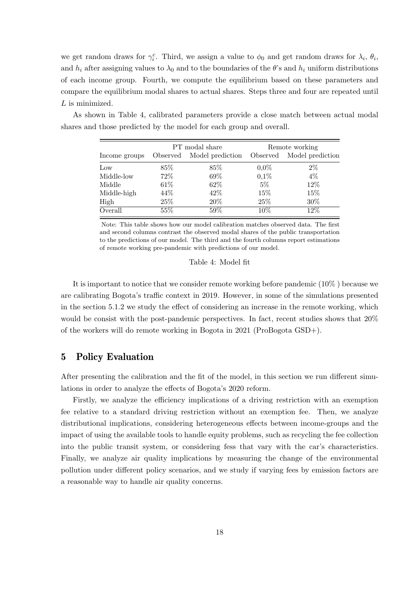we get random draws for  $\gamma_i^c$ . Third, we assign a value to  $\phi_0$  and get random draws for  $\lambda_i$ ,  $\theta_i$ , and  $h_i$  after assigning values to  $\lambda_0$  and to the boundaries of the  $\theta$ 's and  $h_i$  uniform distributions of each income group. Fourth, we compute the equilibrium based on these parameters and compare the equilibrium modal shares to actual shares. Steps three and four are repeated until L is minimized.

As shown in Table 4, calibrated parameters provide a close match between actual modal shares and those predicted by the model for each group and overall.

|               |          | PT modal share   | Remote working |                  |  |
|---------------|----------|------------------|----------------|------------------|--|
| Income groups | Observed | Model prediction | Observed       | Model prediction |  |
| Low           | 85%      | 85\%             | $0.0\%$        | $2\%$            |  |
| Middle-low    | $72\%$   | 69%              | 0,1%           | $4\%$            |  |
| Middle        | $61\%$   | 62%              | $5\%$          | 12%              |  |
| Middle-high   | 44%      | 42\%             | 15%            | 15%              |  |
| High          | 25%      | $20\%$           | 25\%           | 30%              |  |
| Overall       | $55\%$   | $59\%$           | $10\%$         | $12\%$           |  |

Note: This table shows how our model calibration matches observed data. The first and second columns contrast the observed modal shares of the public transportation to the predictions of our model. The third and the fourth columns report estimations of remote working pre-pandemic with predictions of our model.

#### Table 4: Model fit

It is important to notice that we consider remote working before pandemic (10% ) because we are calibrating Bogota's traffic context in 2019. However, in some of the simulations presented in the section 5.1.2 we study the effect of considering an increase in the remote working, which would be consist with the post-pandemic perspectives. In fact, recent studies shows that 20% of the workers will do remote working in Bogota in 2021 (ProBogota GSD+).

## 5 Policy Evaluation

After presenting the calibration and the fit of the model, in this section we run different simulations in order to analyze the effects of Bogota's 2020 reform.

Firstly, we analyze the efficiency implications of a driving restriction with an exemption fee relative to a standard driving restriction without an exemption fee. Then, we analyze distributional implications, considering heterogeneous effects between income-groups and the impact of using the available tools to handle equity problems, such as recycling the fee collection into the public transit system, or considering fess that vary with the car's characteristics. Finally, we analyze air quality implications by measuring the change of the environmental pollution under different policy scenarios, and we study if varying fees by emission factors are a reasonable way to handle air quality concerns.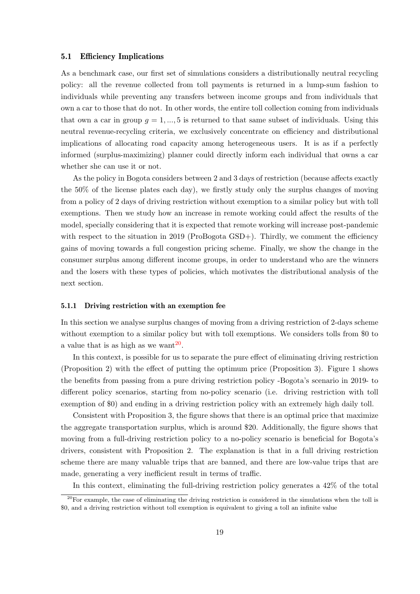#### 5.1 Efficiency Implications

As a benchmark case, our first set of simulations considers a distributionally neutral recycling policy: all the revenue collected from toll payments is returned in a lump-sum fashion to individuals while preventing any transfers between income groups and from individuals that own a car to those that do not. In other words, the entire toll collection coming from individuals that own a car in group  $q = 1, ..., 5$  is returned to that same subset of individuals. Using this neutral revenue-recycling criteria, we exclusively concentrate on efficiency and distributional implications of allocating road capacity among heterogeneous users. It is as if a perfectly informed (surplus-maximizing) planner could directly inform each individual that owns a car whether she can use it or not.

As the policy in Bogota considers between 2 and 3 days of restriction (because affects exactly the 50% of the license plates each day), we firstly study only the surplus changes of moving from a policy of 2 days of driving restriction without exemption to a similar policy but with toll exemptions. Then we study how an increase in remote working could affect the results of the model, specially considering that it is expected that remote working will increase post-pandemic with respect to the situation in 2019 (ProBogota  $\text{GSD+}$ ). Thirdly, we comment the efficiency gains of moving towards a full congestion pricing scheme. Finally, we show the change in the consumer surplus among different income groups, in order to understand who are the winners and the losers with these types of policies, which motivates the distributional analysis of the next section.

#### 5.1.1 Driving restriction with an exemption fee

In this section we analyse surplus changes of moving from a driving restriction of 2-days scheme without exemption to a similar policy but with toll exemptions. We considers tolls from \$0 to a value that is as high as we want $^{20}$  $^{20}$  $^{20}$ .

In this context, is possible for us to separate the pure effect of eliminating driving restriction (Proposition 2) with the effect of putting the optimum price (Proposition 3). Figure 1 shows the benefits from passing from a pure driving restriction policy -Bogota's scenario in 2019- to different policy scenarios, starting from no-policy scenario (i.e. driving restriction with toll exemption of \$0) and ending in a driving restriction policy with an extremely high daily toll.

Consistent with Proposition 3, the figure shows that there is an optimal price that maximize the aggregate transportation surplus, which is around \$20. Additionally, the figure shows that moving from a full-driving restriction policy to a no-policy scenario is beneficial for Bogota's drivers, consistent with Proposition 2. The explanation is that in a full driving restriction scheme there are many valuable trips that are banned, and there are low-value trips that are made, generating a very inefficient result in terms of traffic.

<span id="page-18-0"></span>In this context, eliminating the full-driving restriction policy generates a 42% of the total

<sup>&</sup>lt;sup>20</sup>For example, the case of eliminating the driving restriction is considered in the simulations when the toll is \$0, and a driving restriction without toll exemption is equivalent to giving a toll an infinite value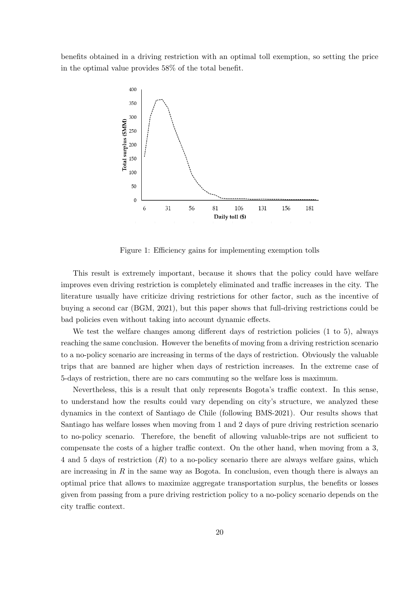benefits obtained in a driving restriction with an optimal toll exemption, so setting the price in the optimal value provides 58% of the total benefit.



Figure 1: Efficiency gains for implementing exemption tolls

This result is extremely important, because it shows that the policy could have welfare improves even driving restriction is completely eliminated and traffic increases in the city. The literature usually have criticize driving restrictions for other factor, such as the incentive of buying a second car (BGM, 2021), but this paper shows that full-driving restrictions could be bad policies even without taking into account dynamic effects.

We test the welfare changes among different days of restriction policies (1 to 5), always reaching the same conclusion. However the benefits of moving from a driving restriction scenario to a no-policy scenario are increasing in terms of the days of restriction. Obviously the valuable trips that are banned are higher when days of restriction increases. In the extreme case of 5-days of restriction, there are no cars commuting so the welfare loss is maximum.

Nevertheless, this is a result that only represents Bogota's traffic context. In this sense, to understand how the results could vary depending on city's structure, we analyzed these dynamics in the context of Santiago de Chile (following BMS-2021). Our results shows that Santiago has welfare losses when moving from 1 and 2 days of pure driving restriction scenario to no-policy scenario. Therefore, the benefit of allowing valuable-trips are not sufficient to compensate the costs of a higher traffic context. On the other hand, when moving from a 3, 4 and 5 days of restriction (R) to a no-policy scenario there are always welfare gains, which are increasing in R in the same way as Bogota. In conclusion, even though there is always an optimal price that allows to maximize aggregate transportation surplus, the benefits or losses given from passing from a pure driving restriction policy to a no-policy scenario depends on the city traffic context.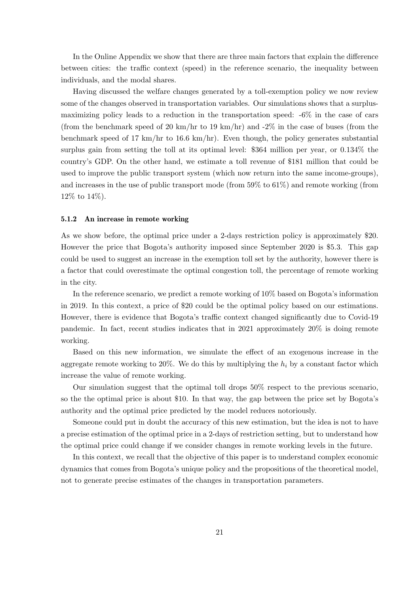In the Online Appendix we show that there are three main factors that explain the difference between cities: the traffic context (speed) in the reference scenario, the inequality between individuals, and the modal shares.

Having discussed the welfare changes generated by a toll-exemption policy we now review some of the changes observed in transportation variables. Our simulations shows that a surplusmaximizing policy leads to a reduction in the transportation speed: -6% in the case of cars (from the benchmark speed of 20 km/hr to 19 km/hr) and  $-2\%$  in the case of buses (from the benchmark speed of 17 km/hr to 16.6 km/hr). Even though, the policy generates substantial surplus gain from setting the toll at its optimal level: \$364 million per year, or 0.134% the country's GDP. On the other hand, we estimate a toll revenue of \$181 million that could be used to improve the public transport system (which now return into the same income-groups), and increases in the use of public transport mode (from 59% to 61%) and remote working (from 12% to 14%).

#### 5.1.2 An increase in remote working

As we show before, the optimal price under a 2-days restriction policy is approximately \$20. However the price that Bogota's authority imposed since September 2020 is \$5.3. This gap could be used to suggest an increase in the exemption toll set by the authority, however there is a factor that could overestimate the optimal congestion toll, the percentage of remote working in the city.

In the reference scenario, we predict a remote working of 10% based on Bogota's information in 2019. In this context, a price of \$20 could be the optimal policy based on our estimations. However, there is evidence that Bogota's traffic context changed significantly due to Covid-19 pandemic. In fact, recent studies indicates that in 2021 approximately 20% is doing remote working.

Based on this new information, we simulate the effect of an exogenous increase in the aggregate remote working to 20%. We do this by multiplying the  $h_i$  by a constant factor which increase the value of remote working.

Our simulation suggest that the optimal toll drops 50% respect to the previous scenario, so the the optimal price is about \$10. In that way, the gap between the price set by Bogota's authority and the optimal price predicted by the model reduces notoriously.

Someone could put in doubt the accuracy of this new estimation, but the idea is not to have a precise estimation of the optimal price in a 2-days of restriction setting, but to understand how the optimal price could change if we consider changes in remote working levels in the future.

In this context, we recall that the objective of this paper is to understand complex economic dynamics that comes from Bogota's unique policy and the propositions of the theoretical model, not to generate precise estimates of the changes in transportation parameters.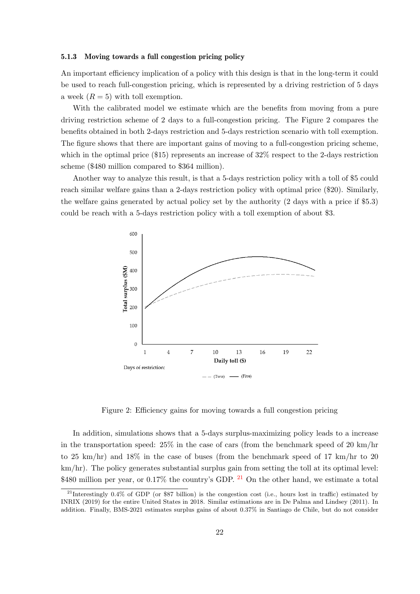#### 5.1.3 Moving towards a full congestion pricing policy

An important efficiency implication of a policy with this design is that in the long-term it could be used to reach full-congestion pricing, which is represented by a driving restriction of 5 days a week  $(R = 5)$  with toll exemption.

With the calibrated model we estimate which are the benefits from moving from a pure driving restriction scheme of 2 days to a full-congestion pricing. The Figure 2 compares the benefits obtained in both 2-days restriction and 5-days restriction scenario with toll exemption. The figure shows that there are important gains of moving to a full-congestion pricing scheme, which in the optimal price (\$15) represents an increase of 32\% respect to the 2-days restriction scheme (\$480 million compared to \$364 million).

Another way to analyze this result, is that a 5-days restriction policy with a toll of \$5 could reach similar welfare gains than a 2-days restriction policy with optimal price (\$20). Similarly, the welfare gains generated by actual policy set by the authority (2 days with a price if \$5.3) could be reach with a 5-days restriction policy with a toll exemption of about \$3.



Figure 2: Efficiency gains for moving towards a full congestion pricing

In addition, simulations shows that a 5-days surplus-maximizing policy leads to a increase in the transportation speed:  $25\%$  in the case of cars (from the benchmark speed of 20 km/hr to 25 km/hr) and 18% in the case of buses (from the benchmark speed of 17 km/hr to 20 km/hr). The policy generates substantial surplus gain from setting the toll at its optimal level: \$480 million per year, or 0.17% the country's GDP. <sup>[21](#page-21-0)</sup> On the other hand, we estimate a total

<span id="page-21-0"></span><sup>&</sup>lt;sup>21</sup>Interestingly 0.4% of GDP (or \$87 billion) is the congestion cost (i.e., hours lost in traffic) estimated by INRIX (2019) for the entire United States in 2018. Similar estimations are in De Palma and Lindsey (2011). In addition. Finally, BMS-2021 estimates surplus gains of about 0.37% in Santiago de Chile, but do not consider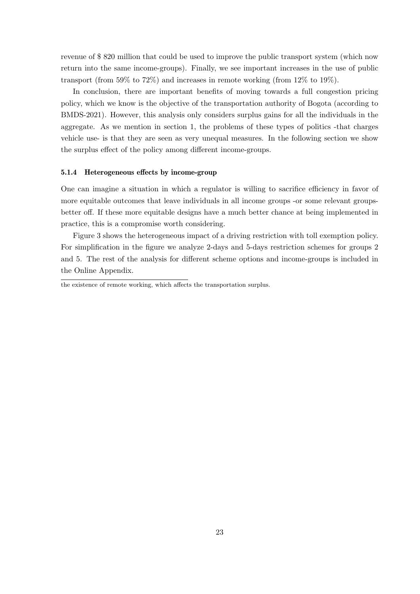revenue of \$ 820 million that could be used to improve the public transport system (which now return into the same income-groups). Finally, we see important increases in the use of public transport (from 59% to 72%) and increases in remote working (from 12% to 19%).

In conclusion, there are important benefits of moving towards a full congestion pricing policy, which we know is the objective of the transportation authority of Bogota (according to BMDS-2021). However, this analysis only considers surplus gains for all the individuals in the aggregate. As we mention in section 1, the problems of these types of politics -that charges vehicle use- is that they are seen as very unequal measures. In the following section we show the surplus effect of the policy among different income-groups.

### 5.1.4 Heterogeneous effects by income-group

One can imagine a situation in which a regulator is willing to sacrifice efficiency in favor of more equitable outcomes that leave individuals in all income groups -or some relevant groupsbetter off. If these more equitable designs have a much better chance at being implemented in practice, this is a compromise worth considering.

Figure 3 shows the heterogeneous impact of a driving restriction with toll exemption policy. For simplification in the figure we analyze 2-days and 5-days restriction schemes for groups 2 and 5. The rest of the analysis for different scheme options and income-groups is included in the Online Appendix.

the existence of remote working, which affects the transportation surplus.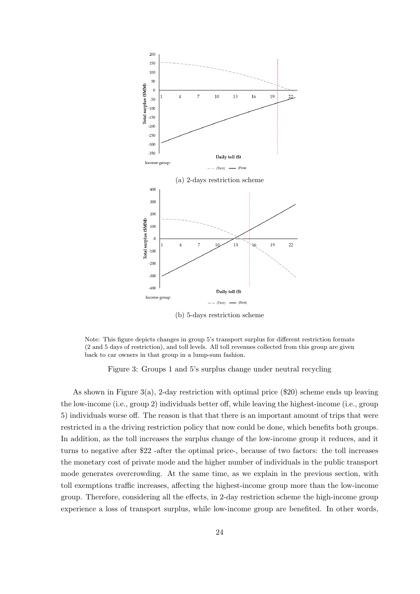

(b) 5-days restriction scheme

Note: This figure depicts changes in group 5's transport surplus for different restriction formats (2 and 5 days of restriction), and toll levels. All toll revenues collected from this group are given back to car owners in that group in a lump-sum fashion.

Figure 3: Groups 1 and 5's surplus change under neutral recycling

As shown in Figure 3(a), 2-day restriction with optimal price (\$20) scheme ends up leaving the low-income (i.e., group 2) individuals better off, while leaving the highest-income (i.e., group 5) individuals worse off. The reason is that that there is an important amount of trips that were restricted in a the driving restriction policy that now could be done, which benefits both groups. In addition, as the toll increases the surplus change of the low-income group it reduces, and it turns to negative after \$22 -after the optimal price-, because of two factors: the toll increases the monetary cost of private mode and the higher number of individuals in the public transport mode generates overcrowding. At the same time, as we explain in the previous section, with toll exemptions traffic increases, affecting the highest-income group more than the low-income group. Therefore, considering all the effects, in 2-day restriction scheme the high-income group experience a loss of transport surplus, while low-income group are benefited. In other words,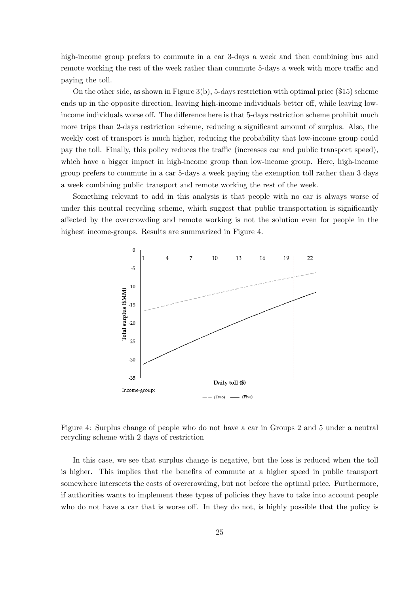high-income group prefers to commute in a car 3-days a week and then combining bus and remote working the rest of the week rather than commute 5-days a week with more traffic and paying the toll.

On the other side, as shown in Figure 3(b), 5-days restriction with optimal price (\$15) scheme ends up in the opposite direction, leaving high-income individuals better off, while leaving lowincome individuals worse off. The difference here is that 5-days restriction scheme prohibit much more trips than 2-days restriction scheme, reducing a significant amount of surplus. Also, the weekly cost of transport is much higher, reducing the probability that low-income group could pay the toll. Finally, this policy reduces the traffic (increases car and public transport speed), which have a bigger impact in high-income group than low-income group. Here, high-income group prefers to commute in a car 5-days a week paying the exemption toll rather than 3 days a week combining public transport and remote working the rest of the week.

Something relevant to add in this analysis is that people with no car is always worse of under this neutral recycling scheme, which suggest that public transportation is significantly affected by the overcrowding and remote working is not the solution even for people in the highest income-groups. Results are summarized in Figure 4.



Figure 4: Surplus change of people who do not have a car in Groups 2 and 5 under a neutral recycling scheme with 2 days of restriction

In this case, we see that surplus change is negative, but the loss is reduced when the toll is higher. This implies that the benefits of commute at a higher speed in public transport somewhere intersects the costs of overcrowding, but not before the optimal price. Furthermore, if authorities wants to implement these types of policies they have to take into account people who do not have a car that is worse off. In they do not, is highly possible that the policy is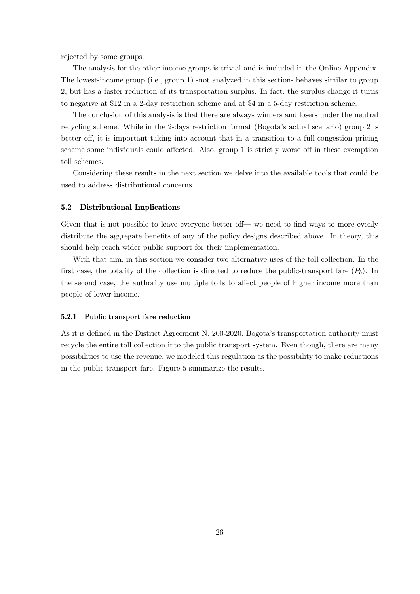rejected by some groups.

The analysis for the other income-groups is trivial and is included in the Online Appendix. The lowest-income group (i.e., group 1) -not analyzed in this section- behaves similar to group 2, but has a faster reduction of its transportation surplus. In fact, the surplus change it turns to negative at \$12 in a 2-day restriction scheme and at \$4 in a 5-day restriction scheme.

The conclusion of this analysis is that there are always winners and losers under the neutral recycling scheme. While in the 2-days restriction format (Bogota's actual scenario) group 2 is better off, it is important taking into account that in a transition to a full-congestion pricing scheme some individuals could affected. Also, group 1 is strictly worse off in these exemption toll schemes.

Considering these results in the next section we delve into the available tools that could be used to address distributional concerns.

#### 5.2 Distributional Implications

Given that is not possible to leave everyone better off— we need to find ways to more evenly distribute the aggregate benefits of any of the policy designs described above. In theory, this should help reach wider public support for their implementation.

With that aim, in this section we consider two alternative uses of the toll collection. In the first case, the totality of the collection is directed to reduce the public-transport fare  $(P_b)$ . In the second case, the authority use multiple tolls to affect people of higher income more than people of lower income.

#### 5.2.1 Public transport fare reduction

As it is defined in the District Agreement N. 200-2020, Bogota's transportation authority must recycle the entire toll collection into the public transport system. Even though, there are many possibilities to use the revenue, we modeled this regulation as the possibility to make reductions in the public transport fare. Figure 5 summarize the results.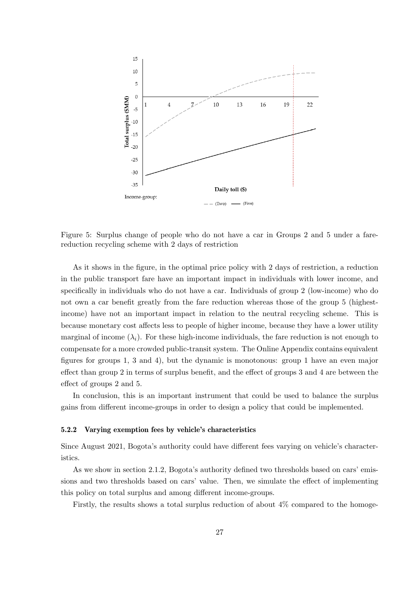

Figure 5: Surplus change of people who do not have a car in Groups 2 and 5 under a farereduction recycling scheme with 2 days of restriction

As it shows in the figure, in the optimal price policy with 2 days of restriction, a reduction in the public transport fare have an important impact in individuals with lower income, and specifically in individuals who do not have a car. Individuals of group 2 (low-income) who do not own a car benefit greatly from the fare reduction whereas those of the group 5 (highestincome) have not an important impact in relation to the neutral recycling scheme. This is because monetary cost affects less to people of higher income, because they have a lower utility marginal of income  $(\lambda_i)$ . For these high-income individuals, the fare reduction is not enough to compensate for a more crowded public-transit system. The Online Appendix contains equivalent figures for groups 1, 3 and 4), but the dynamic is monotonous: group 1 have an even major effect than group 2 in terms of surplus benefit, and the effect of groups 3 and 4 are between the effect of groups 2 and 5.

In conclusion, this is an important instrument that could be used to balance the surplus gains from different income-groups in order to design a policy that could be implemented.

## 5.2.2 Varying exemption fees by vehicle's characteristics

Since August 2021, Bogota's authority could have different fees varying on vehicle's characteristics.

As we show in section 2.1.2, Bogota's authority defined two thresholds based on cars' emissions and two thresholds based on cars' value. Then, we simulate the effect of implementing this policy on total surplus and among different income-groups.

Firstly, the results shows a total surplus reduction of about 4% compared to the homoge-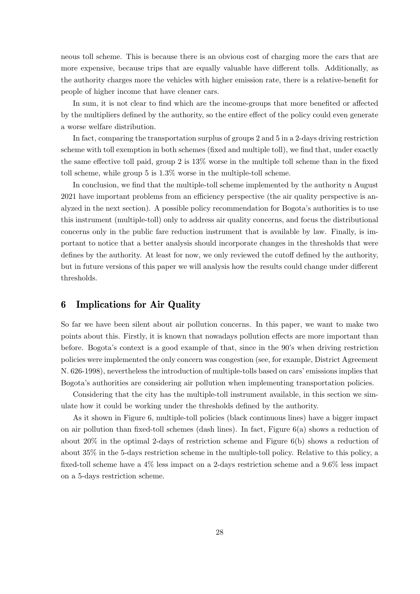neous toll scheme. This is because there is an obvious cost of charging more the cars that are more expensive, because trips that are equally valuable have different tolls. Additionally, as the authority charges more the vehicles with higher emission rate, there is a relative-benefit for people of higher income that have cleaner cars.

In sum, it is not clear to find which are the income-groups that more benefited or affected by the multipliers defined by the authority, so the entire effect of the policy could even generate a worse welfare distribution.

In fact, comparing the transportation surplus of groups 2 and 5 in a 2-days driving restriction scheme with toll exemption in both schemes (fixed and multiple toll), we find that, under exactly the same effective toll paid, group 2 is 13% worse in the multiple toll scheme than in the fixed toll scheme, while group 5 is 1.3% worse in the multiple-toll scheme.

In conclusion, we find that the multiple-toll scheme implemented by the authority n August 2021 have important problems from an efficiency perspective (the air quality perspective is analyzed in the next section). A possible policy recommendation for Bogota's authorities is to use this instrument (multiple-toll) only to address air quality concerns, and focus the distributional concerns only in the public fare reduction instrument that is available by law. Finally, is important to notice that a better analysis should incorporate changes in the thresholds that were defines by the authority. At least for now, we only reviewed the cutoff defined by the authority, but in future versions of this paper we will analysis how the results could change under different thresholds.

## 6 Implications for Air Quality

So far we have been silent about air pollution concerns. In this paper, we want to make two points about this. Firstly, it is known that nowadays pollution effects are more important than before. Bogota's context is a good example of that, since in the 90's when driving restriction policies were implemented the only concern was congestion (see, for example, District Agreement N. 626-1998), nevertheless the introduction of multiple-tolls based on cars' emissions implies that Bogota's authorities are considering air pollution when implementing transportation policies.

Considering that the city has the multiple-toll instrument available, in this section we simulate how it could be working under the thresholds defined by the authority.

As it shown in Figure 6, multiple-toll policies (black continuous lines) have a bigger impact on air pollution than fixed-toll schemes (dash lines). In fact, Figure 6(a) shows a reduction of about  $20\%$  in the optimal 2-days of restriction scheme and Figure  $6(b)$  shows a reduction of about 35% in the 5-days restriction scheme in the multiple-toll policy. Relative to this policy, a fixed-toll scheme have a 4% less impact on a 2-days restriction scheme and a 9.6% less impact on a 5-days restriction scheme.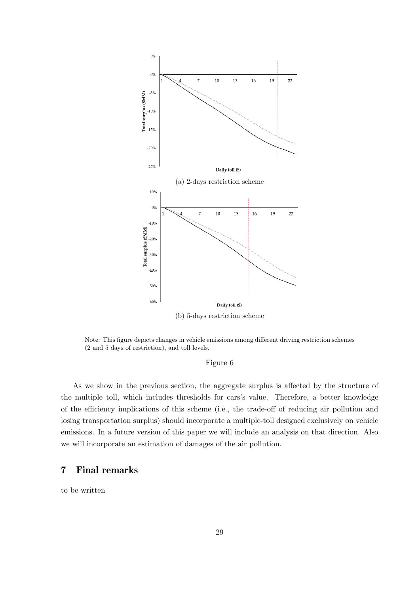

Note: This figure depicts changes in vehicle emissions among different driving restriction schemes (2 and 5 days of restriction), and toll levels.

## Figure 6

As we show in the previous section, the aggregate surplus is affected by the structure of the multiple toll, which includes thresholds for cars's value. Therefore, a better knowledge of the efficiency implications of this scheme (i.e., the trade-off of reducing air pollution and losing transportation surplus) should incorporate a multiple-toll designed exclusively on vehicle emissions. In a future version of this paper we will include an analysis on that direction. Also we will incorporate an estimation of damages of the air pollution.

# 7 Final remarks

to be written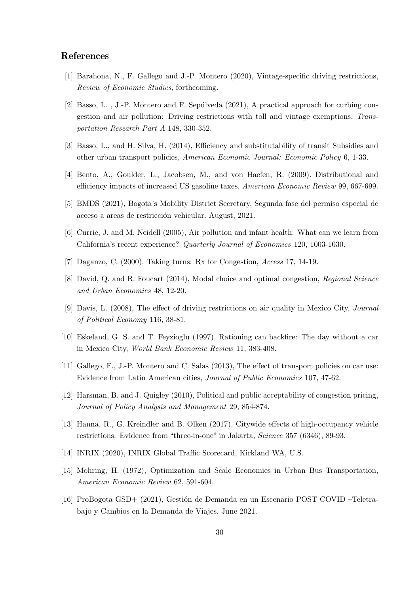## References

- [1] Barahona, N., F. Gallego and J.-P. Montero (2020), Vintage-specific driving restrictions, Review of Economic Studies, forthcoming.
- [2] Basso, L., J.-P. Montero and F. Sepúlveda (2021), A practical approach for curbing congestion and air pollution: Driving restrictions with toll and vintage exemptions, Transportation Research Part A 148, 330-352.
- [3] Basso, L., and H. Silva, H. (2014), Efficiency and substitutability of transit Subsidies and other urban transport policies, American Economic Journal: Economic Policy 6, 1-33.
- [4] Bento, A., Goulder, L., Jacobsen, M., and von Haefen, R. (2009). Distributional and efficiency impacts of increased US gasoline taxes, American Economic Review 99, 667-699.
- [5] BMDS (2021), Bogota's Mobility District Secretary, Segunda fase del permiso especial de acceso a areas de restricción vehicular. August, 2021.
- [6] Currie, J. and M. Neidell (2005), Air pollution and infant health: What can we learn from California's recent experience? Quarterly Journal of Economics 120, 1003-1030.
- [7] Daganzo, C. (2000). Taking turns: Rx for Congestion, Access 17, 14-19.
- [8] David, Q. and R. Foucart (2014), Modal choice and optimal congestion, Regional Science and Urban Economics 48, 12-20.
- [9] Davis, L. (2008), The effect of driving restrictions on air quality in Mexico City, Journal of Political Economy 116, 38-81.
- [10] Eskeland, G. S. and T. Feyzioglu (1997), Rationing can backfire: The day without a car in Mexico City, World Bank Economic Review 11, 383-408.
- [11] Gallego, F., J.-P. Montero and C. Salas (2013), The effect of transport policies on car use: Evidence from Latin American cities, Journal of Public Economics 107, 47-62.
- [12] Harsman, B. and J. Quigley (2010), Political and public acceptability of congestion pricing, Journal of Policy Analysis and Management 29, 854-874.
- [13] Hanna, R., G. Kreindler and B. Olken (2017), Citywide effects of high-occupancy vehicle restrictions: Evidence from "three-in-one" in Jakarta, Science 357 (6346), 89-93.
- [14] INRIX (2020), INRIX Global Traffic Scorecard, Kirkland WA, U.S.
- [15] Mohring, H. (1972), Optimization and Scale Economies in Urban Bus Transportation, American Economic Review 62, 591-604.
- [16] ProBogota GSD+ (2021), Gestión de Demanda en un Escenario POST COVID-Teletrabajo y Cambios en la Demanda de Viajes. June 2021.